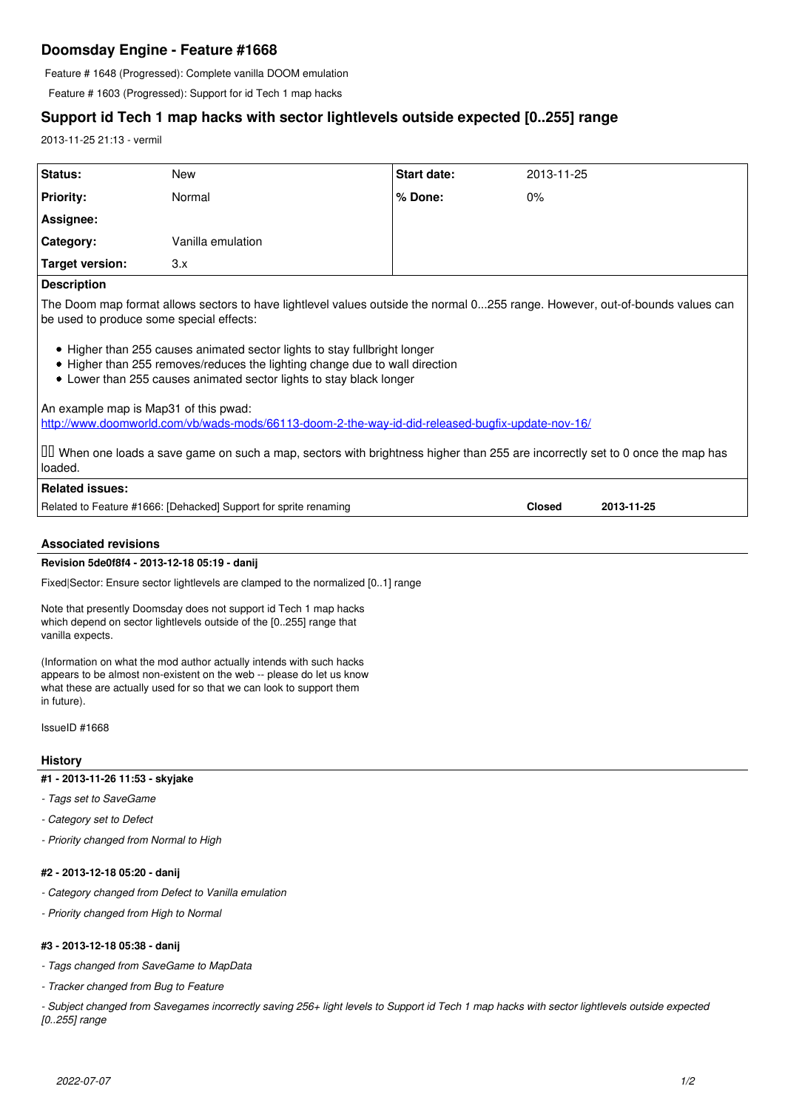# **Doomsday Engine - Feature #1668**

Feature # 1648 (Progressed): Complete vanilla DOOM emulation

Feature # 1603 (Progressed): Support for id Tech 1 map hacks

# **Support id Tech 1 map hacks with sector lightlevels outside expected [0..255] range**

2013-11-25 21:13 - vermil

| Status:            | <b>New</b>        | <b>Start date:</b> | 2013-11-25 |
|--------------------|-------------------|--------------------|------------|
| <b>Priority:</b>   | Normal            | l % Done:          | 0%         |
| Assignee:          |                   |                    |            |
| Category:          | Vanilla emulation |                    |            |
| Target version:    | 3.x               |                    |            |
| <b>Donovintion</b> |                   |                    |            |

### **Description**

The Doom map format allows sectors to have lightlevel values outside the normal 0...255 range. However, out-of-bounds values can be used to produce some special effects:

- Higher than 255 causes animated sector lights to stay fullbright longer
- Higher than 255 removes/reduces the lighting change due to wall direction
- Lower than 255 causes animated sector lights to stay black longer

An example map is Map31 of this pwad:

<http://www.doomworld.com/vb/wads-mods/66113-doom-2-the-way-id-did-released-bugfix-update-nov-16/>

☑️ When one loads a save game on such a map, sectors with brightness higher than 255 are incorrectly set to 0 once the map has loaded.

# **Related issues:**

Related to Feature #1666: [Dehacked] Support for sprite renaming **Closed 2013-11-25**

# **Associated revisions**

## **Revision 5de0f8f4 - 2013-12-18 05:19 - danij**

Fixed|Sector: Ensure sector lightlevels are clamped to the normalized [0..1] range

Note that presently Doomsday does not support id Tech 1 map hacks which depend on sector lightlevels outside of the [0..255] range that vanilla expects.

(Information on what the mod author actually intends with such hacks appears to be almost non-existent on the web -- please do let us know what these are actually used for so that we can look to support them in future).

IssueID #1668

# **History**

**#1 - 2013-11-26 11:53 - skyjake**

*- Tags set to SaveGame*

*- Category set to Defect*

*- Priority changed from Normal to High*

# **#2 - 2013-12-18 05:20 - danij**

- *Category changed from Defect to Vanilla emulation*
- *Priority changed from High to Normal*

# **#3 - 2013-12-18 05:38 - danij**

*- Tags changed from SaveGame to MapData*

*- Tracker changed from Bug to Feature*

*- Subject changed from Savegames incorrectly saving 256+ light levels to Support id Tech 1 map hacks with sector lightlevels outside expected [0..255] range*